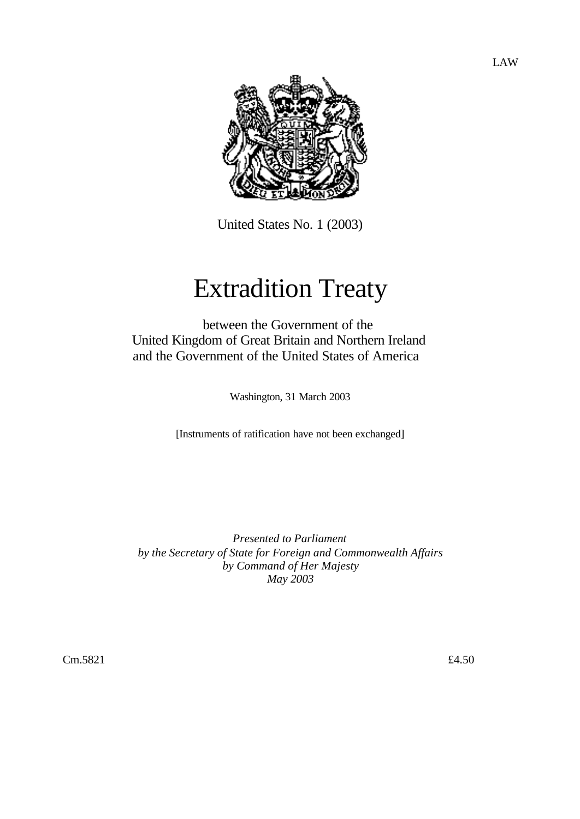

United States No. 1 (2003)

# Extradition Treaty

 between the Government of the United Kingdom of Great Britain and Northern Ireland and the Government of the United States of America

Washington, 31 March 2003

[Instruments of ratification have not been exchanged]

*Presented to Parliament by the Secretary of State for Foreign and Commonwealth Affairs by Command of Her Majesty May 2003*

 $\text{Cm.5821}$   $\text{£4.50}$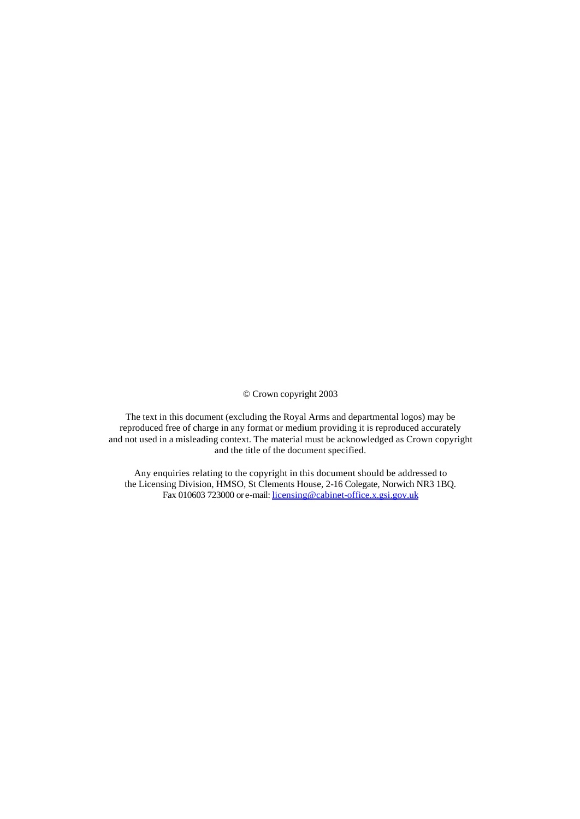© Crown copyright 2003

The text in this document (excluding the Royal Arms and departmental logos) may be reproduced free of charge in any format or medium providing it is reproduced accurately and not used in a misleading context. The material must be acknowledged as Crown copyright and the title of the document specified.

Any enquiries relating to the copyright in this document should be addressed to the Licensing Division, HMSO, St Clements House, 2-16 Colegate, Norwich NR3 1BQ. Fax 010603 723000 or e-mail: licensing@cabinet-office.x.gsi.gov.uk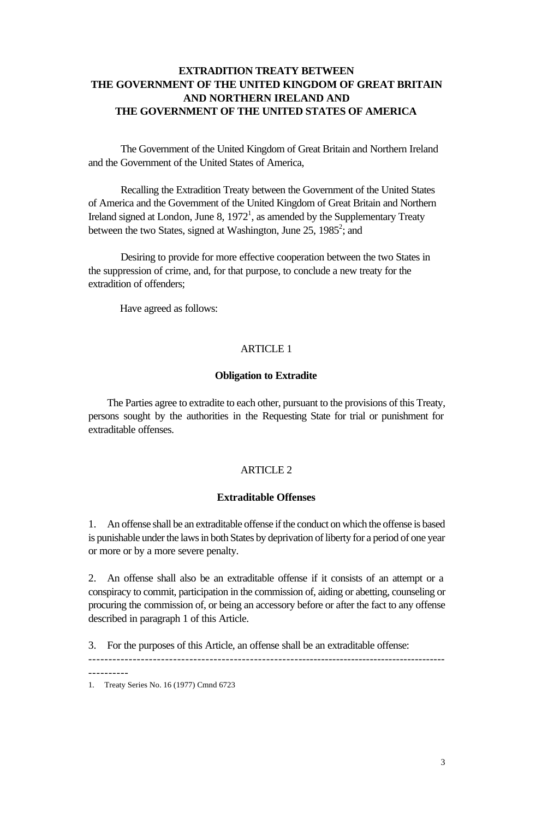# **EXTRADITION TREATY BETWEEN THE GOVERNMENT OF THE UNITED KINGDOM OF GREAT BRITAIN AND NORTHERN IRELAND AND THE GOVERNMENT OF THE UNITED STATES OF AMERICA**

The Government of the United Kingdom of Great Britain and Northern Ireland and the Government of the United States of America,

Recalling the Extradition Treaty between the Government of the United States of America and the Government of the United Kingdom of Great Britain and Northern Ireland signed at London, June  $8$ , 1972<sup>1</sup>, as amended by the Supplementary Treaty between the two States, signed at Washington, June  $25$ ,  $1985^2$ ; and

Desiring to provide for more effective cooperation between the two States in the suppression of crime, and, for that purpose, to conclude a new treaty for the extradition of offenders;

Have agreed as follows:

#### ARTICLE 1

#### **Obligation to Extradite**

The Parties agree to extradite to each other, pursuant to the provisions of this Treaty, persons sought by the authorities in the Requesting State for trial or punishment for extraditable offenses.

## ARTICLE 2

#### **Extraditable Offenses**

1. An offense shall be an extraditable offense if the conduct on which the offense is based is punishable under the laws in both States by deprivation of liberty for a period of one year or more or by a more severe penalty.

2. An offense shall also be an extraditable offense if it consists of an attempt or a conspiracy to commit, participation in the commission of, aiding or abetting, counseling or procuring the commission of, or being an accessory before or after the fact to any offense described in paragraph 1 of this Article.

-------------------------------------------------------------------------------------------

3. For the purposes of this Article, an offense shall be an extraditable offense:

----------

<sup>1.</sup> Treaty Series No. 16 (1977) Cmnd 6723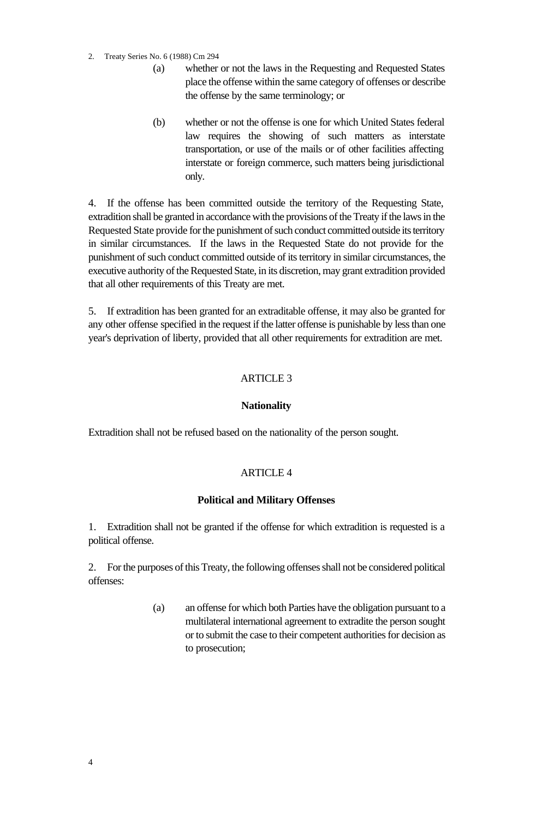- 2. Treaty Series No. 6 (1988) Cm 294
	- (a) whether or not the laws in the Requesting and Requested States place the offense within the same category of offenses or describe the offense by the same terminology; or
	- (b) whether or not the offense is one for which United States federal law requires the showing of such matters as interstate transportation, or use of the mails or of other facilities affecting interstate or foreign commerce, such matters being jurisdictional only.

4. If the offense has been committed outside the territory of the Requesting State, extradition shall be granted in accordance with the provisions of the Treaty if the laws in the Requested State provide for the punishment of such conduct committed outside its territory in similar circumstances. If the laws in the Requested State do not provide for the punishment of such conduct committed outside of its territory in similar circumstances, the executive authority of the Requested State, in its discretion, may grant extradition provided that all other requirements of this Treaty are met.

5. If extradition has been granted for an extraditable offense, it may also be granted for any other offense specified in the request if the latter offense is punishable by less than one year's deprivation of liberty, provided that all other requirements for extradition are met.

## ARTICLE 3

#### **Nationality**

Extradition shall not be refused based on the nationality of the person sought.

#### ARTICLE 4

#### **Political and Military Offenses**

1. Extradition shall not be granted if the offense for which extradition is requested is a political offense.

2. For the purposes of this Treaty, the following offenses shall not be considered political offenses:

> (a) an offense for which both Parties have the obligation pursuant to a multilateral international agreement to extradite the person sought or to submit the case to their competent authorities for decision as to prosecution;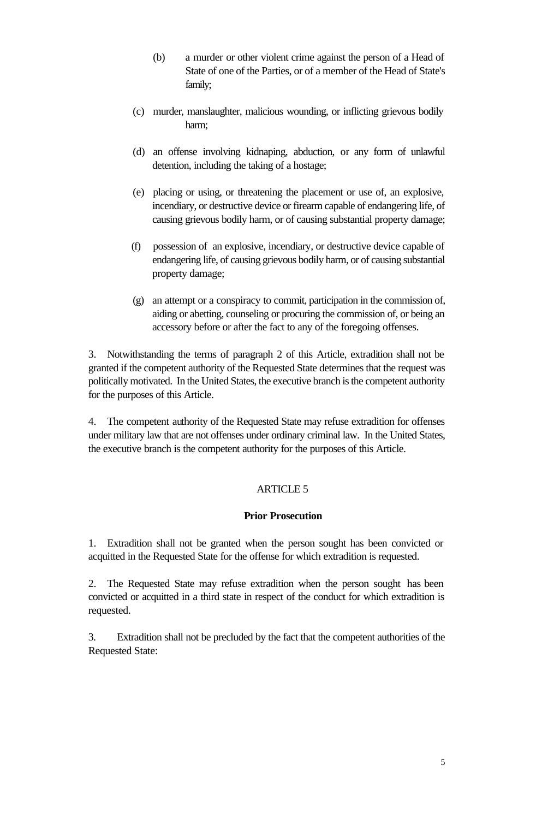- (b) a murder or other violent crime against the person of a Head of State of one of the Parties, or of a member of the Head of State's family;
- (c) murder, manslaughter, malicious wounding, or inflicting grievous bodily harm;
- (d) an offense involving kidnaping, abduction, or any form of unlawful detention, including the taking of a hostage;
- (e) placing or using, or threatening the placement or use of, an explosive, incendiary, or destructive device or firearm capable of endangering life, of causing grievous bodily harm, or of causing substantial property damage;
- (f) possession of an explosive, incendiary, or destructive device capable of endangering life, of causing grievous bodily harm, or of causing substantial property damage;
- (g) an attempt or a conspiracy to commit, participation in the commission of, aiding or abetting, counseling or procuring the commission of, or being an accessory before or after the fact to any of the foregoing offenses.

3. Notwithstanding the terms of paragraph 2 of this Article, extradition shall not be granted if the competent authority of the Requested State determines that the request was politically motivated. In the United States, the executive branch is the competent authority for the purposes of this Article.

4. The competent authority of the Requested State may refuse extradition for offenses under military law that are not offenses under ordinary criminal law. In the United States, the executive branch is the competent authority for the purposes of this Article.

# ARTICLE 5

## **Prior Prosecution**

1. Extradition shall not be granted when the person sought has been convicted or acquitted in the Requested State for the offense for which extradition is requested.

2. The Requested State may refuse extradition when the person sought has been convicted or acquitted in a third state in respect of the conduct for which extradition is requested.

3. Extradition shall not be precluded by the fact that the competent authorities of the Requested State: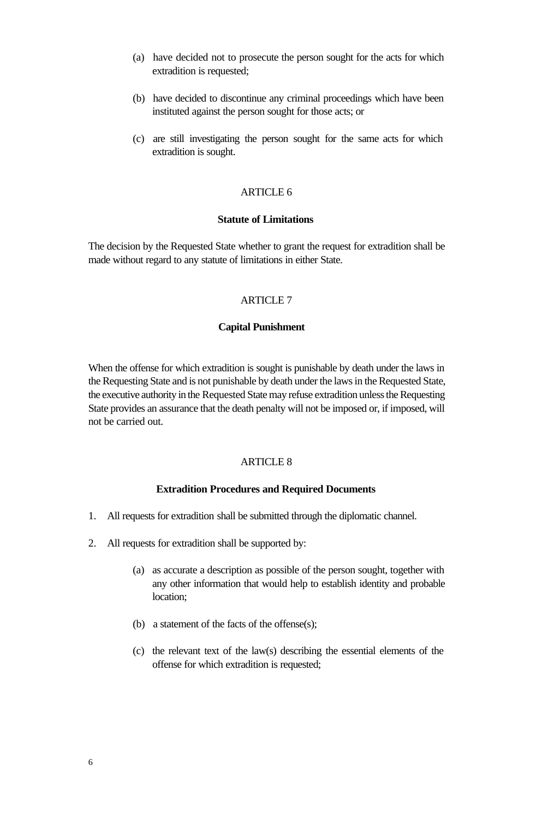- (a) have decided not to prosecute the person sought for the acts for which extradition is requested;
- (b) have decided to discontinue any criminal proceedings which have been instituted against the person sought for those acts; or
- (c) are still investigating the person sought for the same acts for which extradition is sought.

#### ARTICLE 6

#### **Statute of Limitations**

The decision by the Requested State whether to grant the request for extradition shall be made without regard to any statute of limitations in either State.

#### ARTICLE 7

#### **Capital Punishment**

When the offense for which extradition is sought is punishable by death under the laws in the Requesting State and is not punishable by death under the laws in the Requested State, the executive authority in the Requested State may refuse extradition unless the Requesting State provides an assurance that the death penalty will not be imposed or, if imposed, will not be carried out.

## ARTICLE 8

#### **Extradition Procedures and Required Documents**

- 1. All requests for extradition shall be submitted through the diplomatic channel.
- 2. All requests for extradition shall be supported by:
	- (a) as accurate a description as possible of the person sought, together with any other information that would help to establish identity and probable location;
	- (b) a statement of the facts of the offense(s);
	- (c) the relevant text of the law(s) describing the essential elements of the offense for which extradition is requested;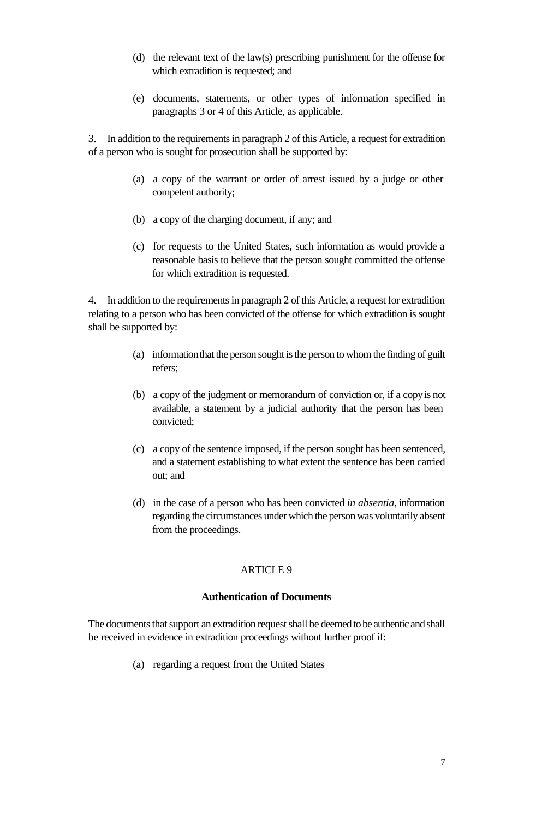- (d) the relevant text of the law(s) prescribing punishment for the offense for which extradition is requested; and
- (e) documents, statements, or other types of information specified in paragraphs 3 or 4 of this Article, as applicable.

3. In addition to the requirements in paragraph 2 of this Article, a request for extradition of a person who is sought for prosecution shall be supported by:

- (a) a copy of the warrant or order of arrest issued by a judge or other competent authority;
- (b) a copy of the charging document, if any; and
- (c) for requests to the United States, such information as would provide a reasonable basis to believe that the person sought committed the offense for which extradition is requested.

4. In addition to the requirements in paragraph 2 of this Article, a request for extradition relating to a person who has been convicted of the offense for which extradition is sought shall be supported by:

- (a) informationthat the person sought is the person to whom the finding of guilt refers;
- (b) a copy of the judgment or memorandum of conviction or, if a copy is not available, a statement by a judicial authority that the person has been convicted;
- (c) a copy of the sentence imposed, if the person sought has been sentenced, and a statement establishing to what extent the sentence has been carried out; and
- (d) in the case of a person who has been convicted *in absentia*, information regarding the circumstances under which the person was voluntarily absent from the proceedings.

# ARTICLE 9

## **Authentication of Documents**

The documents that support an extradition request shall be deemed to be authentic and shall be received in evidence in extradition proceedings without further proof if:

(a) regarding a request from the United States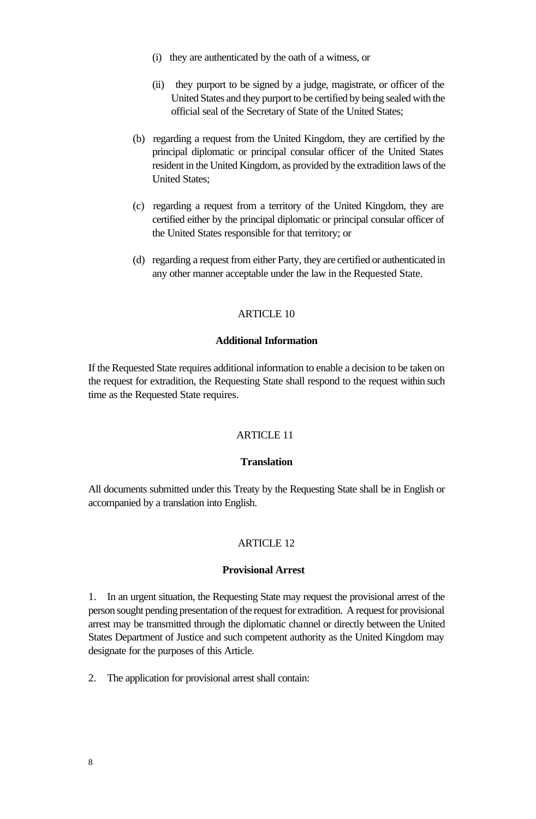- (i) they are authenticated by the oath of a witness, or
- (ii) they purport to be signed by a judge, magistrate, or officer of the United States and they purport to be certified by being sealed with the official seal of the Secretary of State of the United States;
- (b) regarding a request from the United Kingdom, they are certified by the principal diplomatic or principal consular officer of the United States resident in the United Kingdom, as provided by the extradition laws of the United States;
- (c) regarding a request from a territory of the United Kingdom, they are certified either by the principal diplomatic or principal consular officer of the United States responsible for that territory; or
- (d) regarding a request from either Party, they are certified or authenticated in any other manner acceptable under the law in the Requested State.

#### ARTICLE 10

#### **Additional Information**

If the Requested State requires additional information to enable a decision to be taken on the request for extradition, the Requesting State shall respond to the request within such time as the Requested State requires.

#### ARTICLE 11

#### **Translation**

All documents submitted under this Treaty by the Requesting State shall be in English or accompanied by a translation into English.

## ARTICLE 12

#### **Provisional Arrest**

1. In an urgent situation, the Requesting State may request the provisional arrest of the person sought pending presentation of the request for extradition. A request for provisional arrest may be transmitted through the diplomatic channel or directly between the United States Department of Justice and such competent authority as the United Kingdom may designate for the purposes of this Article.

2. The application for provisional arrest shall contain: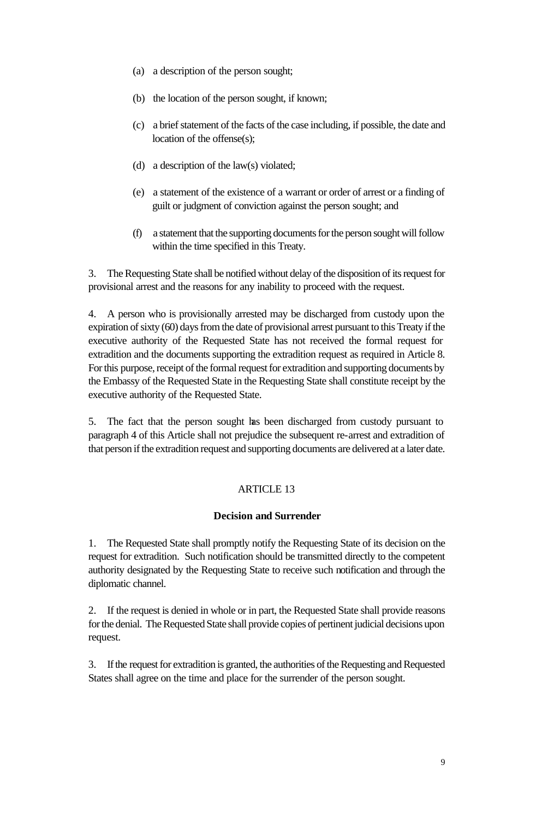- (a) a description of the person sought;
- (b) the location of the person sought, if known;
- (c) a brief statement of the facts of the case including, if possible, the date and location of the offense(s);
- (d) a description of the law(s) violated;
- (e) a statement of the existence of a warrant or order of arrest or a finding of guilt or judgment of conviction against the person sought; and
- (f) a statement that the supporting documents for the person sought will follow within the time specified in this Treaty.

3. The Requesting State shall be notified without delay of the disposition of its request for provisional arrest and the reasons for any inability to proceed with the request.

4. A person who is provisionally arrested may be discharged from custody upon the expiration of sixty (60) days from the date of provisional arrest pursuant to this Treaty if the executive authority of the Requested State has not received the formal request for extradition and the documents supporting the extradition request as required in Article 8. For this purpose, receipt of the formal request for extradition and supporting documents by the Embassy of the Requested State in the Requesting State shall constitute receipt by the executive authority of the Requested State.

5. The fact that the person sought has been discharged from custody pursuant to paragraph 4 of this Article shall not prejudice the subsequent re-arrest and extradition of that person if the extradition request and supporting documents are delivered at a later date.

# ARTICLE 13

## **Decision and Surrender**

1. The Requested State shall promptly notify the Requesting State of its decision on the request for extradition. Such notification should be transmitted directly to the competent authority designated by the Requesting State to receive such notification and through the diplomatic channel.

2. If the request is denied in whole or in part, the Requested State shall provide reasons for the denial. The Requested State shall provide copies of pertinent judicial decisions upon request.

3. If the request for extradition is granted, the authorities of the Requesting and Requested States shall agree on the time and place for the surrender of the person sought.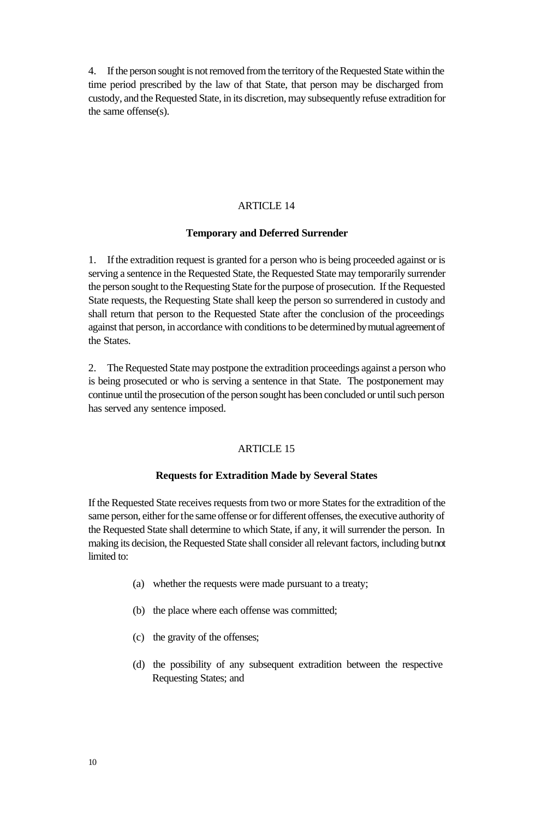4. If the person sought is not removed from the territory of the Requested State within the time period prescribed by the law of that State, that person may be discharged from custody, and the Requested State, in its discretion, may subsequently refuse extradition for the same offense(s).

## ARTICLE 14

#### **Temporary and Deferred Surrender**

1. If the extradition request is granted for a person who is being proceeded against or is serving a sentence in the Requested State, the Requested State may temporarily surrender the person sought to the Requesting State for the purpose of prosecution. If the Requested State requests, the Requesting State shall keep the person so surrendered in custody and shall return that person to the Requested State after the conclusion of the proceedings against that person, in accordance with conditions to be determined by mutual agreement of the States.

2. The Requested State may postpone the extradition proceedings against a person who is being prosecuted or who is serving a sentence in that State. The postponement may continue until the prosecution of the person sought has been concluded or until such person has served any sentence imposed.

#### ARTICLE 15

#### **Requests for Extradition Made by Several States**

If the Requested State receives requests from two or more States for the extradition of the same person, either for the same offense or for different offenses, the executive authority of the Requested State shall determine to which State, if any, it will surrender the person. In making its decision, the Requested State shall consider all relevant factors, including but not limited to:

- (a) whether the requests were made pursuant to a treaty;
- (b) the place where each offense was committed;
- (c) the gravity of the offenses;
- (d) the possibility of any subsequent extradition between the respective Requesting States; and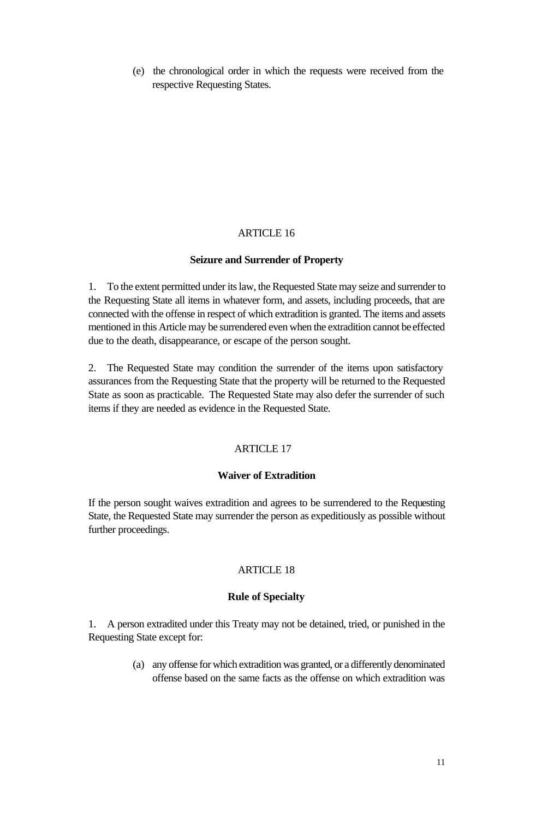(e) the chronological order in which the requests were received from the respective Requesting States.

# ARTICLE 16

## **Seizure and Surrender of Property**

1. To the extent permitted under its law, the Requested State may seize and surrender to the Requesting State all items in whatever form, and assets, including proceeds, that are connected with the offense in respect of which extradition is granted. The items and assets mentioned in this Article may be surrendered even when the extradition cannot be effected due to the death, disappearance, or escape of the person sought.

2. The Requested State may condition the surrender of the items upon satisfactory assurances from the Requesting State that the property will be returned to the Requested State as soon as practicable. The Requested State may also defer the surrender of such items if they are needed as evidence in the Requested State.

# ARTICLE 17

# **Waiver of Extradition**

If the person sought waives extradition and agrees to be surrendered to the Requesting State, the Requested State may surrender the person as expeditiously as possible without further proceedings.

# ARTICLE 18

## **Rule of Specialty**

1. A person extradited under this Treaty may not be detained, tried, or punished in the Requesting State except for:

> (a) any offense for which extradition was granted, or a differently denominated offense based on the same facts as the offense on which extradition was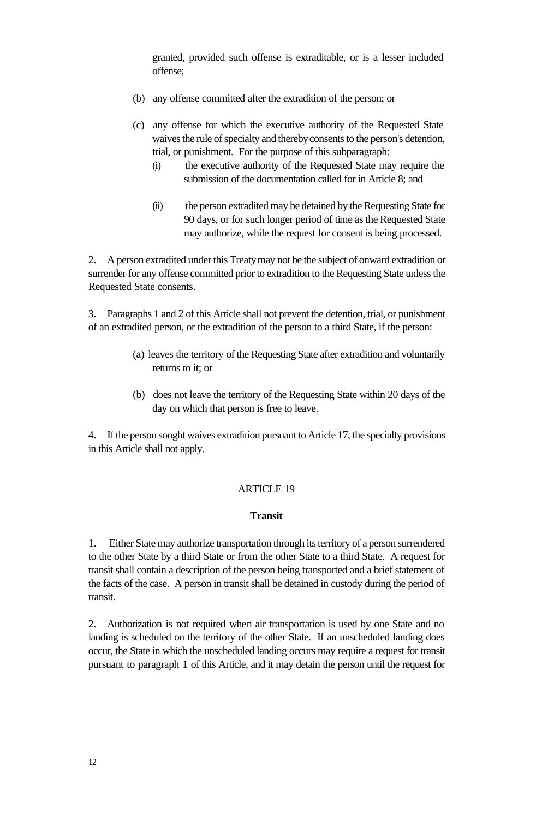granted, provided such offense is extraditable, or is a lesser included offense;

- (b) any offense committed after the extradition of the person; or
- (c) any offense for which the executive authority of the Requested State waives the rule of specialty and therebyconsents to the person's detention, trial, or punishment. For the purpose of this subparagraph:
	- (i) the executive authority of the Requested State may require the submission of the documentation called for in Article 8; and
	- (ii) the person extradited may be detained by the Requesting State for 90 days, or for such longer period of time as the Requested State may authorize, while the request for consent is being processed.

2. A person extradited under this Treatymay not be the subject of onward extradition or surrender for any offense committed prior to extradition to the Requesting State unless the Requested State consents.

3. Paragraphs 1 and 2 of this Article shall not prevent the detention, trial, or punishment of an extradited person, or the extradition of the person to a third State, if the person:

- (a) leaves the territory of the Requesting State after extradition and voluntarily returns to it; or
- (b) does not leave the territory of the Requesting State within 20 days of the day on which that person is free to leave.

4. If the person sought waives extradition pursuant to Article 17, the specialty provisions in this Article shall not apply.

## ARTICLE 19

## **Transit**

1. Either State may authorize transportation through its territory of a person surrendered to the other State by a third State or from the other State to a third State. A request for transit shall contain a description of the person being transported and a brief statement of the facts of the case. A person in transit shall be detained in custody during the period of transit.

2. Authorization is not required when air transportation is used by one State and no landing is scheduled on the territory of the other State. If an unscheduled landing does occur, the State in which the unscheduled landing occurs may require a request for transit pursuant to paragraph 1 of this Article, and it may detain the person until the request for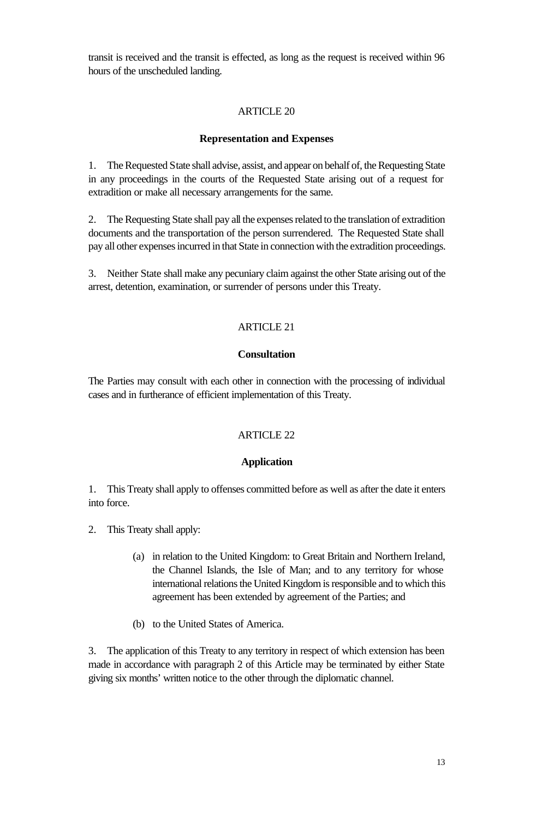transit is received and the transit is effected, as long as the request is received within 96 hours of the unscheduled landing.

## ARTICLE 20

#### **Representation and Expenses**

1. The Requested State shall advise, assist, and appear on behalf of, the Requesting State in any proceedings in the courts of the Requested State arising out of a request for extradition or make all necessary arrangements for the same.

2. The Requesting State shall pay all the expenses related to the translation of extradition documents and the transportation of the person surrendered. The Requested State shall pay all other expenses incurred in that State in connection with the extradition proceedings.

3. Neither State shall make any pecuniary claim against the other State arising out of the arrest, detention, examination, or surrender of persons under this Treaty.

# ARTICLE 21

## **Consultation**

The Parties may consult with each other in connection with the processing of individual cases and in furtherance of efficient implementation of this Treaty.

## ARTICLE 22

#### **Application**

1. This Treaty shall apply to offenses committed before as well as after the date it enters into force.

2. This Treaty shall apply:

- (a) in relation to the United Kingdom: to Great Britain and Northern Ireland, the Channel Islands, the Isle of Man; and to any territory for whose international relations the United Kingdom is responsible and to which this agreement has been extended by agreement of the Parties; and
- (b) to the United States of America.

3. The application of this Treaty to any territory in respect of which extension has been made in accordance with paragraph 2 of this Article may be terminated by either State giving six months' written notice to the other through the diplomatic channel.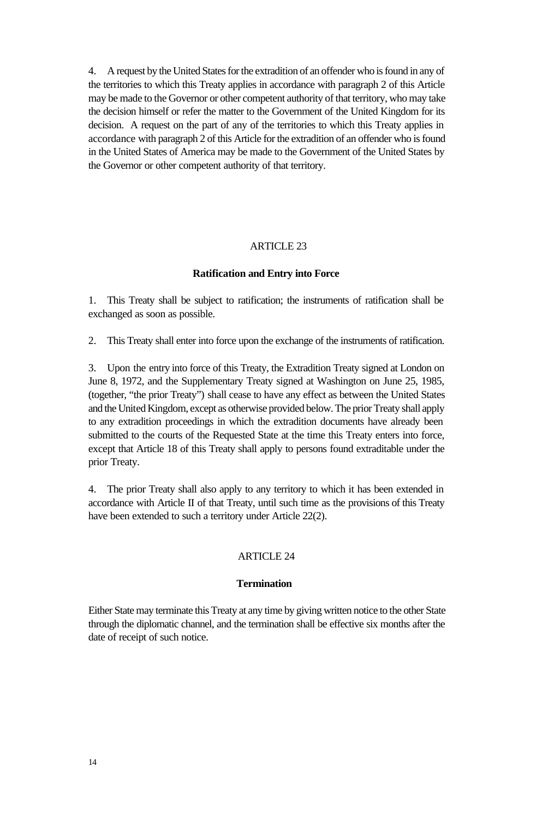4. A request by the United States for the extradition of an offender who is found in any of the territories to which this Treaty applies in accordance with paragraph 2 of this Article may be made to the Governor or other competent authority of that territory, who may take the decision himself or refer the matter to the Government of the United Kingdom for its decision. A request on the part of any of the territories to which this Treaty applies in accordance with paragraph 2 of this Article for the extradition of an offender who is found in the United States of America may be made to the Government of the United States by the Governor or other competent authority of that territory.

## **ARTICLE 23**

## **Ratification and Entry into Force**

1. This Treaty shall be subject to ratification; the instruments of ratification shall be exchanged as soon as possible.

2. This Treaty shall enter into force upon the exchange of the instruments of ratification.

3. Upon the entry into force of this Treaty, the Extradition Treaty signed at London on June 8, 1972, and the Supplementary Treaty signed at Washington on June 25, 1985, (together, "the prior Treaty") shall cease to have any effect as between the United States and the United Kingdom, except as otherwise provided below. The prior Treaty shall apply to any extradition proceedings in which the extradition documents have already been submitted to the courts of the Requested State at the time this Treaty enters into force, except that Article 18 of this Treaty shall apply to persons found extraditable under the prior Treaty.

4. The prior Treaty shall also apply to any territory to which it has been extended in accordance with Article II of that Treaty, until such time as the provisions of this Treaty have been extended to such a territory under Article 22(2).

#### ARTICLE 24

#### **Termination**

Either State may terminate this Treaty at any time by giving written notice to the other State through the diplomatic channel, and the termination shall be effective six months after the date of receipt of such notice.